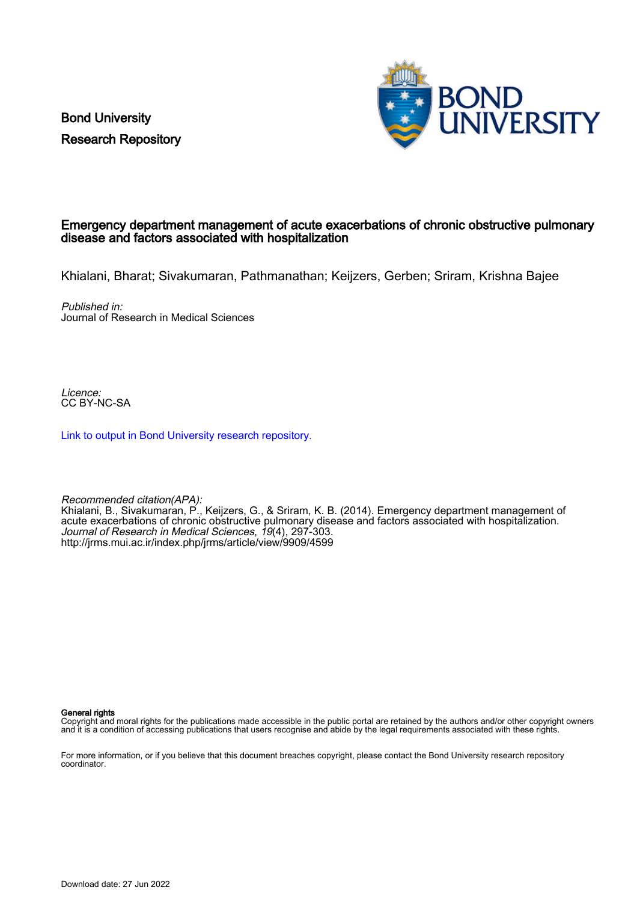Bond University Research Repository



## Emergency department management of acute exacerbations of chronic obstructive pulmonary disease and factors associated with hospitalization

Khialani, Bharat; Sivakumaran, Pathmanathan; Keijzers, Gerben; Sriram, Krishna Bajee

Published in: Journal of Research in Medical Sciences

Licence: CC BY-NC-SA

[Link to output in Bond University research repository.](https://research.bond.edu.au/en/publications/ef6c9b35-877f-4cea-841c-f75c8f28d918)

Recommended citation(APA): Khialani, B., Sivakumaran, P., Keijzers, G., & Sriram, K. B. (2014). Emergency department management of acute exacerbations of chronic obstructive pulmonary disease and factors associated with hospitalization. Journal of Research in Medical Sciences, 19(4), 297-303. <http://jrms.mui.ac.ir/index.php/jrms/article/view/9909/4599>

General rights

Copyright and moral rights for the publications made accessible in the public portal are retained by the authors and/or other copyright owners and it is a condition of accessing publications that users recognise and abide by the legal requirements associated with these rights.

For more information, or if you believe that this document breaches copyright, please contact the Bond University research repository coordinator.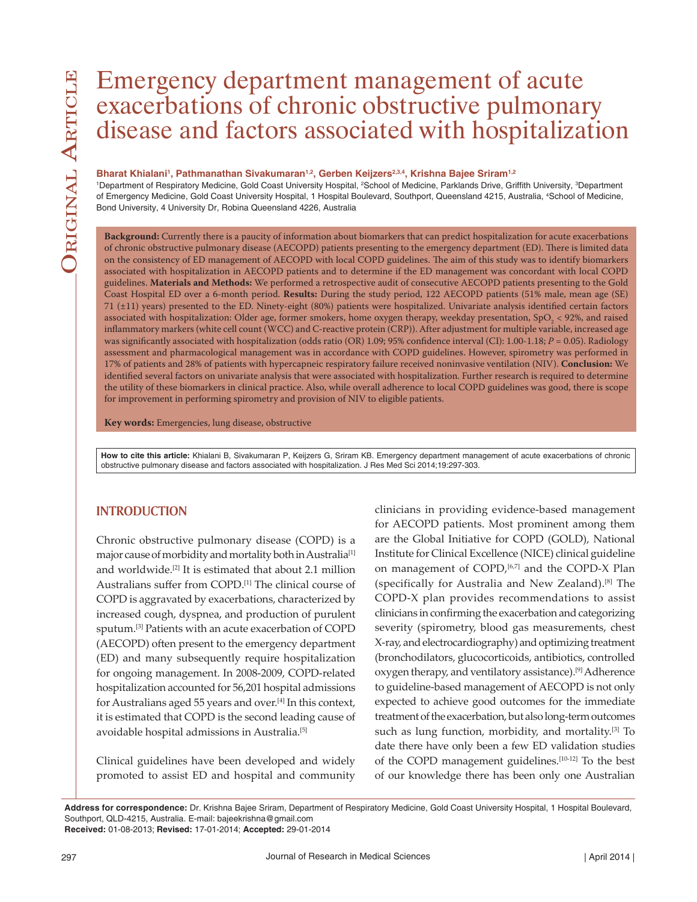# Emergency department management of acute exacerbations of chronic obstructive pulmonary disease and factors associated with hospitalization

#### Bharat Khialani<sup>1</sup>, Pathmanathan Sivakumaran<sup>1,2</sup>, Gerben Keijzers<sup>2,3,4</sup>, Krishna Bajee Sriram<sup>1,2</sup>

<sup>1</sup>Department of Respiratory Medicine, Gold Coast University Hospital, <sup>2</sup>School of Medicine, Parklands Drive, Griffith University, <sup>3</sup>Department of Emergency Medicine, Gold Coast University Hospital, 1 Hospital Boulevard, Southport, Queensland 4215, Australia, <sup>4</sup>School of Medicine, Bond University, 4 University Dr, Robina Queensland 4226, Australia

**Background:** Currently there is a paucity of information about biomarkers that can predict hospitalization for acute exacerbations of chronic obstructive pulmonary disease (AECOPD) patients presenting to the emergency department (ED). There is limited data on the consistency of ED management of AECOPD with local COPD guidelines. The aim of this study was to identify biomarkers associated with hospitalization in AECOPD patients and to determine if the ED management was concordant with local COPD guidelines. **Materials and Methods:** We performed a retrospective audit of consecutive AECOPD patients presenting to the Gold Coast Hospital ED over a 6-month period. **Results:** During the study period, 122 AECOPD patients (51% male, mean age (SE) 71 (±11) years) presented to the ED. Ninety-eight (80%) patients were hospitalized. Univariate analysis identified certain factors associated with hospitalization: Older age, former smokers, home oxygen therapy, weekday presentation, SpO $_2$  < 92%, and raised inflammatory markers (white cell count (WCC) and C-reactive protein (CRP)). After adjustment for multiple variable, increased age was significantly associated with hospitalization (odds ratio (OR) 1.09; 95% confidence interval (CI): 1.00-1.18; *P* = 0.05). Radiology assessment and pharmacological management was in accordance with COPD guidelines. However, spirometry was performed in 17% of patients and 28% of patients with hypercapneic respiratory failure received noninvasive ventilation (NIV). **Conclusion:** We identified several factors on univariate analysis that were associated with hospitalization. Further research is required to determine the utility of these biomarkers in clinical practice. Also, while overall adherence to local COPD guidelines was good, there is scope for improvement in performing spirometry and provision of NIV to eligible patients.

**Key words:** Emergencies, lung disease, obstructive

**How to cite this article:** Khialani B, Sivakumaran P, Keijzers G, Sriram KB. Emergency department management of acute exacerbations of chronic obstructive pulmonary disease and factors associated with hospitalization. J Res Med Sci 2014;19:297-303.

## **INTRODUCTION**

Chronic obstructive pulmonary disease (COPD) is a major cause of morbidity and mortality both in Australia<sup>[1]</sup> and worldwide.[2] It is estimated that about 2.1 million Australians suffer from COPD.[1] The clinical course of COPD is aggravated by exacerbations, characterized by increased cough, dyspnea, and production of purulent sputum.[3] Patients with an acute exacerbation of COPD (AECOPD) often present to the emergency department (ED) and many subsequently require hospitalization for ongoing management. In 2008-2009, COPD-related hospitalization accounted for 56,201 hospital admissions for Australians aged 55 years and over.[4] In this context, it is estimated that COPD is the second leading cause of avoidable hospital admissions in Australia.<sup>[5]</sup>

Clinical guidelines have been developed and widely promoted to assist ED and hospital and community

clinicians in providing evidence-based management for AECOPD patients. Most prominent among them are the Global Initiative for COPD (GOLD), National Institute for Clinical Excellence (NICE) clinical guideline on management of COPD, $[6,7]$  and the COPD-X Plan (specifically for Australia and New Zealand).[8] The COPD-X plan provides recommendations to assist clinicians in confirming the exacerbation and categorizing severity (spirometry, blood gas measurements, chest X-ray, and electrocardiography) and optimizing treatment (bronchodilators, glucocorticoids, antibiotics, controlled oxygen therapy, and ventilatory assistance).[9] Adherence to guideline-based management of AECOPD is not only expected to achieve good outcomes for the immediate treatment of the exacerbation, but also long-term outcomes such as lung function, morbidity, and mortality.<sup>[3]</sup> To date there have only been a few ED validation studies of the COPD management guidelines.[10-12] To the best of our knowledge there has been only one Australian

**Address for correspondence:** Dr. Krishna Bajee Sriram, Department of Respiratory Medicine, Gold Coast University Hospital, 1 Hospital Boulevard, Southport, QLD-4215, Australia. E-mail: bajeekrishna@gmail.com **Received:** 01-08-2013; **Revised:** 17-01-2014; **Accepted:** 29-01-2014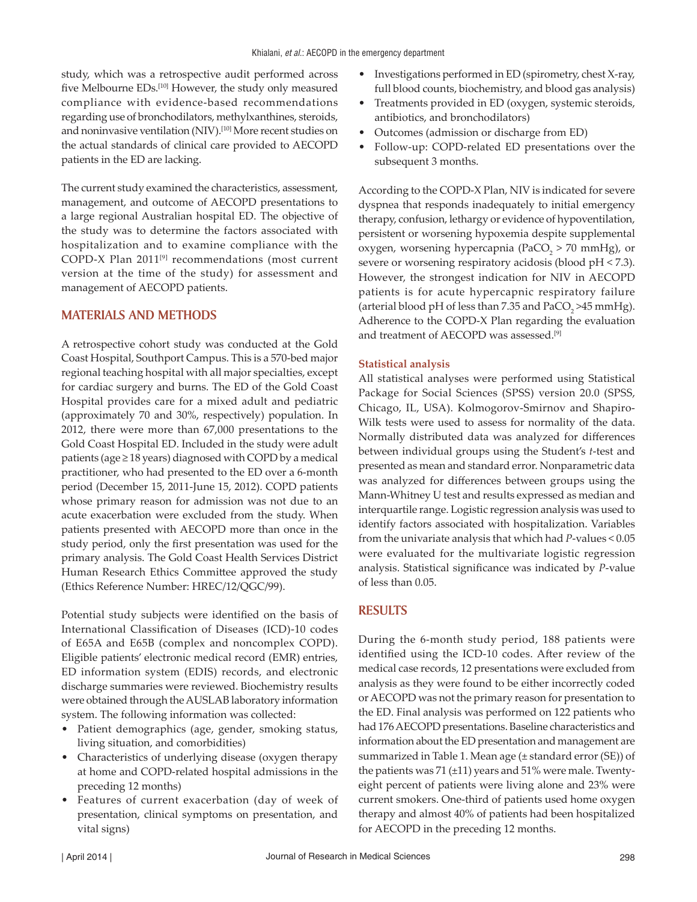study, which was a retrospective audit performed across five Melbourne EDs.<sup>[10]</sup> However, the study only measured compliance with evidence-based recommendations regarding use of bronchodilators, methylxanthines, steroids, and noninvasive ventilation (NIV).<sup>[10]</sup> More recent studies on the actual standards of clinical care provided to AECOPD patients in the ED are lacking.

The current study examined the characteristics, assessment, management, and outcome of AECOPD presentations to a large regional Australian hospital ED. The objective of the study was to determine the factors associated with hospitalization and to examine compliance with the COPD-X Plan 2011[9] recommendations (most current version at the time of the study) for assessment and management of AECOPD patients.

#### **MATERIALS AND METHODS**

A retrospective cohort study was conducted at the Gold Coast Hospital, Southport Campus. This is a 570-bed major regional teaching hospital with all major specialties, except for cardiac surgery and burns. The ED of the Gold Coast Hospital provides care for a mixed adult and pediatric (approximately 70 and 30%, respectively) population. In 2012, there were more than 67,000 presentations to the Gold Coast Hospital ED. Included in the study were adult patients (age  $\geq$  18 years) diagnosed with COPD by a medical practitioner, who had presented to the ED over a 6-month period (December 15, 2011-June 15, 2012). COPD patients whose primary reason for admission was not due to an acute exacerbation were excluded from the study. When patients presented with AECOPD more than once in the study period, only the first presentation was used for the primary analysis. The Gold Coast Health Services District Human Research Ethics Committee approved the study (Ethics Reference Number: HREC/12/QGC/99).

Potential study subjects were identified on the basis of International Classification of Diseases (ICD)-10 codes of E65A and E65B (complex and noncomplex COPD). Eligible patients' electronic medical record (EMR) entries, ED information system (EDIS) records, and electronic discharge summaries were reviewed. Biochemistry results were obtained through the AUSLAB laboratory information system. The following information was collected:

- Patient demographics (age, gender, smoking status, living situation, and comorbidities)
- Characteristics of underlying disease (oxygen therapy at home and COPD-related hospital admissions in the preceding 12 months)
- Features of current exacerbation (day of week of presentation, clinical symptoms on presentation, and vital signs)
- Investigations performed in ED (spirometry, chest X-ray, full blood counts, biochemistry, and blood gas analysis)
- Treatments provided in ED (oxygen, systemic steroids, antibiotics, and bronchodilators)
- Outcomes (admission or discharge from ED)
- Follow-up: COPD-related ED presentations over the subsequent 3 months.

According to the COPD-X Plan, NIV is indicated for severe dyspnea that responds inadequately to initial emergency therapy, confusion, lethargy or evidence of hypoventilation, persistent or worsening hypoxemia despite supplemental oxygen, worsening hypercapnia (PaCO<sub>2</sub> > 70 mmHg), or severe or worsening respiratory acidosis (blood pH < 7.3). However, the strongest indication for NIV in AECOPD patients is for acute hypercapnic respiratory failure (arterial blood pH of less than 7.35 and  $PaCO<sub>2</sub> > 45 mmHg$ ). Adherence to the COPD-X Plan regarding the evaluation and treatment of AECOPD was assessed.[9]

#### **Statistical analysis**

All statistical analyses were performed using Statistical Package for Social Sciences (SPSS) version 20.0 (SPSS, Chicago, IL, USA). Kolmogorov-Smirnov and Shapiro-Wilk tests were used to assess for normality of the data. Normally distributed data was analyzed for differences between individual groups using the Student's *t*-test and presented as mean and standard error. Nonparametric data was analyzed for differences between groups using the Mann-Whitney U test and results expressed as median and interquartile range. Logistic regression analysis was used to identify factors associated with hospitalization. Variables from the univariate analysis that which had *P*-values < 0.05 were evaluated for the multivariate logistic regression analysis. Statistical significance was indicated by *P*-value of less than 0.05.

#### **RESULTS**

During the 6-month study period, 188 patients were identified using the ICD-10 codes. After review of the medical case records, 12 presentations were excluded from analysis as they were found to be either incorrectly coded or AECOPD was not the primary reason for presentation to the ED. Final analysis was performed on 122 patients who had 176 AECOPD presentations. Baseline characteristics and information about the ED presentation and management are summarized in Table 1. Mean age (± standard error (SE)) of the patients was 71 (±11) years and 51% were male. Twentyeight percent of patients were living alone and 23% were current smokers. One-third of patients used home oxygen therapy and almost 40% of patients had been hospitalized for AECOPD in the preceding 12 months.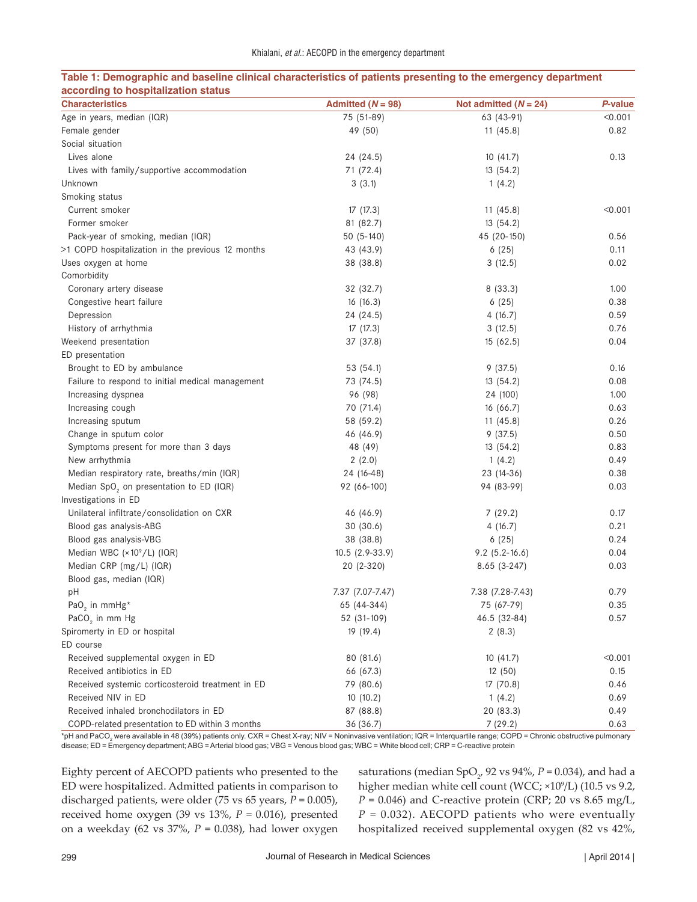| accorumy to nospitalization status<br><b>Characteristics</b>           | Admitted $(N = 98)$ | Not admitted $(N = 24)$ | P-value |
|------------------------------------------------------------------------|---------------------|-------------------------|---------|
| Age in years, median (IQR)                                             | 75 (51-89)          | 63 (43-91)              | < 0.001 |
| Female gender                                                          | 49 (50)             | 11(45.8)                | 0.82    |
| Social situation                                                       |                     |                         |         |
| Lives alone                                                            | 24 (24.5)           | 10(41.7)                | 0.13    |
| Lives with family/supportive accommodation                             | 71 (72.4)           | 13(54.2)                |         |
| Unknown                                                                | 3(3.1)              | 1(4.2)                  |         |
| Smoking status                                                         |                     |                         |         |
| Current smoker                                                         | 17(17.3)            | 11(45.8)                | < 0.001 |
| Former smoker                                                          | 81 (82.7)           | 13(54.2)                |         |
| Pack-year of smoking, median (IQR)                                     | $50(5-140)$         | 45 (20-150)             | 0.56    |
| >1 COPD hospitalization in the previous 12 months                      | 43 (43.9)           | 6(25)                   | 0.11    |
| Uses oxygen at home                                                    | 38 (38.8)           | 3(12.5)                 | 0.02    |
| Comorbidity                                                            |                     |                         |         |
| Coronary artery disease                                                | 32 (32.7)           | 8 (33.3)                | 1.00    |
| Congestive heart failure                                               | 16(16.3)            | 6(25)                   | 0.38    |
| Depression                                                             | 24 (24.5)           | 4(16.7)                 | 0.59    |
| History of arrhythmia                                                  | 17 (17.3)           | 3(12.5)                 | 0.76    |
| Weekend presentation                                                   | 37 (37.8)           | 15(62.5)                | 0.04    |
| ED presentation                                                        |                     |                         |         |
| Brought to ED by ambulance                                             | 53 (54.1)           | 9(37.5)                 | 0.16    |
| Failure to respond to initial medical management                       | 73 (74.5)           | 13(54.2)                | 0.08    |
| Increasing dyspnea                                                     | 96 (98)             | 24 (100)                | 1.00    |
| Increasing cough                                                       | 70 (71.4)           | 16(66.7)                | 0.63    |
| Increasing sputum                                                      | 58 (59.2)           | 11(45.8)                | 0.26    |
| Change in sputum color                                                 | 46 (46.9)           | 9(37.5)                 | 0.50    |
| Symptoms present for more than 3 days                                  | 48 (49)             | 13(54.2)                | 0.83    |
| New arrhythmia                                                         | 2(2.0)              | 1(4.2)                  | 0.49    |
| Median respiratory rate, breaths/min (IQR)                             | 24 (16-48)          | 23 (14-36)              | 0.38    |
| Median SpO <sub>2</sub> on presentation to ED (IQR)                    | 92 (66-100)         | 94 (83-99)              | 0.03    |
| Investigations in ED                                                   |                     |                         |         |
| Unilateral infiltrate/consolidation on CXR                             | 46 (46.9)           | 7(29.2)                 | 0.17    |
| Blood gas analysis-ABG                                                 | 30(30.6)            | 4(16.7)                 | 0.21    |
| Blood gas analysis-VBG                                                 | 38 (38.8)           | 6(25)                   | 0.24    |
| Median WBC (×10°/L) (IQR)                                              | $10.5(2.9-33.9)$    | $9.2$ (5.2-16.6)        | 0.04    |
| Median CRP (mg/L) (IQR)                                                | 20 (2-320)          | $8.65(3-247)$           | 0.03    |
| Blood gas, median (IQR)                                                |                     |                         |         |
| pH                                                                     | 7.37 (7.07-7.47)    | 7.38 (7.28-7.43)        | 0.79    |
| PaO <sub>2</sub> in mmHg <sup>*</sup>                                  | 65 (44-344)         | 75 (67-79)              | 0.35    |
| PaCO <sub>2</sub> in mm Hg                                             | 52 (31-109)         | 46.5 (32-84)            | 0.57    |
| Spiromerty in ED or hospital                                           | 19 (19.4)           | 2(8.3)                  |         |
| ED course                                                              |                     |                         |         |
| Received supplemental oxygen in ED                                     | 80 (81.6)           | 10(41.7)                | < 0.001 |
| Received antibiotics in ED                                             |                     |                         |         |
|                                                                        | 66 (67.3)           | 12 (50)                 | 0.15    |
| Received systemic corticosteroid treatment in ED<br>Received NIV in ED | 79 (80.6)           | 17(70.8)                | 0.46    |
| Received inhaled bronchodilators in ED                                 | 10(10.2)            | 1(4.2)                  | 0.69    |
|                                                                        | 87 (88.8)           | 20 (83.3)               | 0.49    |
| COPD-related presentation to ED within 3 months                        | 36 (36.7)           | 7(29.2)                 | 0.63    |

#### **Table 1: Demographic and baseline clinical characteristics of patients presenting to the emergency department according to hospitalization status**

\*pH and PaCO<sub>2</sub> were available in 48 (39%) patients only. CXR = Chest X-ray; NIV = Noninvasive ventilation; IQR = Interquartile range; COPD = Chronic obstructive pulmonary disease; ED = Emergency department; ABG = Arterial blood gas; VBG = Venous blood gas; WBC = White blood cell; CRP = C-reactive protein

Eighty percent of AECOPD patients who presented to the ED were hospitalized. Admitted patients in comparison to discharged patients, were older (75 vs 65 years, *P* = 0.005), received home oxygen (39 vs 13%, *P* = 0.016), presented on a weekday (62 vs 37%, *P* = 0.038), had lower oxygen

saturations (median SpO<sub>2</sub>, 92 vs 94%, *P* = 0.034), and had a higher median white cell count (WCC;  $\times 10^9$ /L) (10.5 vs 9.2,  $P = 0.046$ ) and C-reactive protein (CRP; 20 vs 8.65 mg/L,  $P = 0.032$ ). AECOPD patients who were eventually hospitalized received supplemental oxygen (82 vs 42%,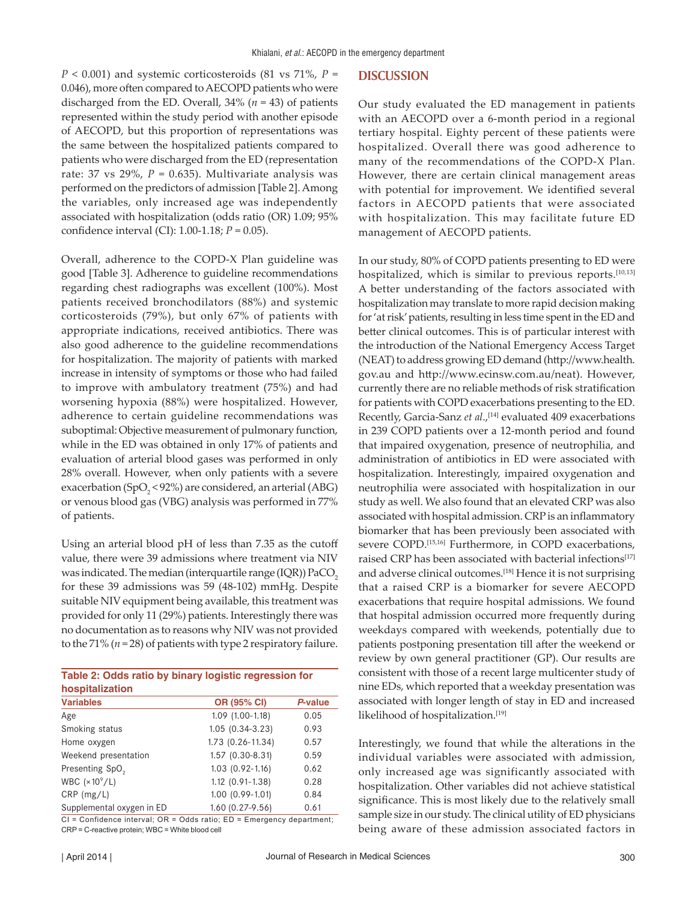*P* < 0.001) and systemic corticosteroids (81 vs 71%, *P* = 0.046), more often compared to AECOPD patients who were discharged from the ED. Overall, 34% (*n* = 43) of patients represented within the study period with another episode of AECOPD, but this proportion of representations was the same between the hospitalized patients compared to patients who were discharged from the ED (representation rate: 37 vs  $29\%$ ,  $P = 0.635$ ). Multivariate analysis was performed on the predictors of admission [Table 2]. Among the variables, only increased age was independently associated with hospitalization (odds ratio (OR) 1.09; 95% confidence interval (CI): 1.00-1.18; *P* = 0.05).

Overall, adherence to the COPD-X Plan guideline was good [Table 3]. Adherence to guideline recommendations regarding chest radiographs was excellent (100%). Most patients received bronchodilators (88%) and systemic corticosteroids (79%), but only 67% of patients with appropriate indications, received antibiotics. There was also good adherence to the guideline recommendations for hospitalization. The majority of patients with marked increase in intensity of symptoms or those who had failed to improve with ambulatory treatment (75%) and had worsening hypoxia (88%) were hospitalized. However, adherence to certain guideline recommendations was suboptimal: Objective measurement of pulmonary function, while in the ED was obtained in only 17% of patients and evaluation of arterial blood gases was performed in only 28% overall. However, when only patients with a severe exacerbation (SpO<sub>2</sub> < 92%) are considered, an arterial (ABG) or venous blood gas (VBG) analysis was performed in 77% of patients.

Using an arterial blood pH of less than 7.35 as the cutoff value, there were 39 admissions where treatment via NIV was indicated. The median (interquartile range  $(IQR)$ ) PaCO<sub>2</sub> for these 39 admissions was 59 (48-102) mmHg. Despite suitable NIV equipment being available, this treatment was provided for only 11 (29%) patients. Interestingly there was no documentation as to reasons why NIV was not provided to the 71% (*n* = 28) of patients with type 2 respiratory failure.

| Table 2: Odds ratio by binary logistic regression for |                        |         |  |  |  |  |
|-------------------------------------------------------|------------------------|---------|--|--|--|--|
| hospitalization                                       |                        |         |  |  |  |  |
| <b>Variables</b>                                      | <b>OR (95% CI)</b>     | P-value |  |  |  |  |
| Age                                                   | $1.09(1.00-1.18)$      | 0.05    |  |  |  |  |
| Smoking status                                        | $1.05(0.34-3.23)$      | 0.93    |  |  |  |  |
| Home oxygen                                           | 1.73 (0.26-11.34)      | 0.57    |  |  |  |  |
| Weekend presentation                                  | $1.57$ $(0.30 - 8.31)$ | 0.59    |  |  |  |  |
| Presenting SpO <sub>2</sub>                           | $1.03$ $(0.92 - 1.16)$ | 0.62    |  |  |  |  |
| WBC $(x10^9/L)$                                       | $1.12$ $(0.91 - 1.38)$ | 0.28    |  |  |  |  |
| $CRP$ (mg/L)                                          | $1.00$ $(0.99-1.01)$   | 0.84    |  |  |  |  |
| Supplemental oxygen in ED                             | $1.60(0.27-9.56)$      | 0.61    |  |  |  |  |

CI = Confidence interval; OR = Odds ratio; ED = Emergency department; CRP = C-reactive protein; WBC = White blood cell

#### **DISCUSSION**

Our study evaluated the ED management in patients with an AECOPD over a 6-month period in a regional tertiary hospital. Eighty percent of these patients were hospitalized. Overall there was good adherence to many of the recommendations of the COPD-X Plan. However, there are certain clinical management areas with potential for improvement. We identified several factors in AECOPD patients that were associated with hospitalization. This may facilitate future ED management of AECOPD patients.

In our study, 80% of COPD patients presenting to ED were hospitalized, which is similar to previous reports.<sup>[10,13]</sup> A better understanding of the factors associated with hospitalization may translate to more rapid decision making for 'at risk' patients, resulting in less time spent in the ED and better clinical outcomes. This is of particular interest with the introduction of the National Emergency Access Target (NEAT) to address growing ED demand (http://www.health. gov.au and http://www.ecinsw.com.au/neat). However, currently there are no reliable methods of risk stratification for patients with COPD exacerbations presenting to the ED. Recently, Garcia-Sanz et al.,<sup>[14]</sup> evaluated 409 exacerbations in 239 COPD patients over a 12-month period and found that impaired oxygenation, presence of neutrophilia, and administration of antibiotics in ED were associated with hospitalization. Interestingly, impaired oxygenation and neutrophilia were associated with hospitalization in our study as well. We also found that an elevated CRP was also associated with hospital admission. CRP is an inflammatory biomarker that has been previously been associated with severe COPD.<sup>[15,16]</sup> Furthermore, in COPD exacerbations, raised CRP has been associated with bacterial infections<sup>[17]</sup> and adverse clinical outcomes.[18] Hence it is not surprising that a raised CRP is a biomarker for severe AECOPD exacerbations that require hospital admissions. We found that hospital admission occurred more frequently during weekdays compared with weekends, potentially due to patients postponing presentation till after the weekend or review by own general practitioner (GP). Our results are consistent with those of a recent large multicenter study of nine EDs, which reported that a weekday presentation was associated with longer length of stay in ED and increased likelihood of hospitalization.<sup>[19]</sup>

Interestingly, we found that while the alterations in the individual variables were associated with admission, only increased age was significantly associated with hospitalization. Other variables did not achieve statistical significance. This is most likely due to the relatively small sample size in our study. The clinical utility of ED physicians being aware of these admission associated factors in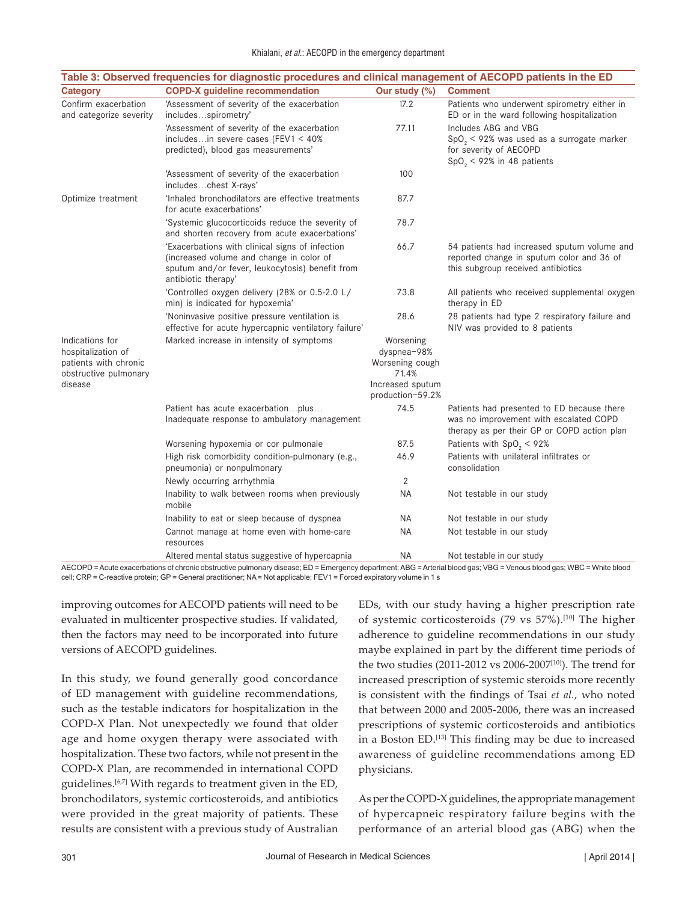|                                                                                                    | Table 3: Observed frequencies for diagnostic procedures and clinical management of AECOPD patients in the ED                                                          |                                                                                              |                                                                                                                                     |
|----------------------------------------------------------------------------------------------------|-----------------------------------------------------------------------------------------------------------------------------------------------------------------------|----------------------------------------------------------------------------------------------|-------------------------------------------------------------------------------------------------------------------------------------|
| <b>Category</b>                                                                                    | <b>COPD-X</b> guideline recommendation                                                                                                                                | Our study (%)                                                                                | <b>Comment</b>                                                                                                                      |
| Confirm exacerbation<br>and categorize severity                                                    | 'Assessment of severity of the exacerbation<br>includesspirometry'                                                                                                    | 17.2                                                                                         | Patients who underwent spirometry either in<br>ED or in the ward following hospitalization                                          |
|                                                                                                    | 'Assessment of severity of the exacerbation<br>includesin severe cases (FEV1 $<$ 40%<br>predicted), blood gas measurements'                                           | 77.11                                                                                        | Includes ABG and VBG<br>$SpO2 < 92%$ was used as a surrogate marker<br>for severity of AECOPD<br>$SpO2 < 92%$ in 48 patients        |
|                                                                                                    | 'Assessment of severity of the exacerbation<br>includeschest X-rays'                                                                                                  | 100                                                                                          |                                                                                                                                     |
| Optimize treatment                                                                                 | 'Inhaled bronchodilators are effective treatments<br>for acute exacerbations'                                                                                         | 87.7                                                                                         |                                                                                                                                     |
|                                                                                                    | 'Systemic glucocorticoids reduce the severity of<br>and shorten recovery from acute exacerbations'                                                                    | 78.7                                                                                         |                                                                                                                                     |
|                                                                                                    | 'Exacerbations with clinical signs of infection<br>(increased volume and change in color of<br>sputum and/or fever, leukocytosis) benefit from<br>antibiotic therapy' | 66.7                                                                                         | 54 patients had increased sputum volume and<br>reported change in sputum color and 36 of<br>this subgroup received antibiotics      |
|                                                                                                    | 'Controlled oxygen delivery (28% or 0.5-2.0 L/<br>min) is indicated for hypoxemia'                                                                                    | 73.8                                                                                         | All patients who received supplemental oxygen<br>therapy in ED                                                                      |
|                                                                                                    | 'Noninvasive positive pressure ventilation is<br>effective for acute hypercapnic ventilatory failure'                                                                 | 28.6                                                                                         | 28 patients had type 2 respiratory failure and<br>NIV was provided to 8 patients                                                    |
| Indications for<br>hospitalization of<br>patients with chronic<br>obstructive pulmonary<br>disease | Marked increase in intensity of symptoms                                                                                                                              | Worsening<br>dyspnea-98%<br>Worsening cough<br>71.4%<br>Increased sputum<br>production-59.2% |                                                                                                                                     |
|                                                                                                    | Patient has acute exacerbationplus<br>Inadequate response to ambulatory management                                                                                    | 74.5                                                                                         | Patients had presented to ED because there<br>was no improvement with escalated COPD<br>therapy as per their GP or COPD action plan |
|                                                                                                    | Worsening hypoxemia or cor pulmonale                                                                                                                                  | 87.5                                                                                         | Patients with $SpO_2 < 92\%$                                                                                                        |
|                                                                                                    | High risk comorbidity condition-pulmonary (e.g.,<br>pneumonia) or nonpulmonary                                                                                        | 46.9                                                                                         | Patients with unilateral infiltrates or<br>consolidation                                                                            |
|                                                                                                    | Newly occurring arrhythmia                                                                                                                                            | 2                                                                                            |                                                                                                                                     |
|                                                                                                    | Inability to walk between rooms when previously<br>mobile                                                                                                             | ΝA                                                                                           | Not testable in our study                                                                                                           |
|                                                                                                    | Inability to eat or sleep because of dyspnea                                                                                                                          | ΝA                                                                                           | Not testable in our study                                                                                                           |
|                                                                                                    | Cannot manage at home even with home-care<br>resources                                                                                                                | <b>NA</b>                                                                                    | Not testable in our study                                                                                                           |
|                                                                                                    | Altered mental status suggestive of hypercapnia                                                                                                                       | ΝA                                                                                           | Not testable in our study                                                                                                           |

AECOPD = Acute exacerbations of chronic obstructive pulmonary disease; ED = Emergency department; ABG = Arterial blood gas; VBG = Venous blood gas; WBC = White blood cell; CRP = C-reactive protein; GP = General practitioner; NA = Not applicable; FEV1 = Forced expiratory volume in 1 s

improving outcomes for AECOPD patients will need to be evaluated in multicenter prospective studies. If validated, then the factors may need to be incorporated into future versions of AECOPD guidelines.

In this study, we found generally good concordance of ED management with guideline recommendations, such as the testable indicators for hospitalization in the COPD-X Plan. Not unexpectedly we found that older age and home oxygen therapy were associated with hospitalization. These two factors, while not present in the COPD-X Plan, are recommended in international COPD guidelines.<sup>[6,7]</sup> With regards to treatment given in the ED, bronchodilators, systemic corticosteroids, and antibiotics were provided in the great majority of patients. These results are consistent with a previous study of Australian EDs, with our study having a higher prescription rate of systemic corticosteroids (79 vs 57%).[10] The higher adherence to guideline recommendations in our study maybe explained in part by the different time periods of the two studies (2011-2012 vs 2006-2007[10]). The trend for increased prescription of systemic steroids more recently is consistent with the findings of Tsai *et al.*, who noted that between 2000 and 2005-2006, there was an increased prescriptions of systemic corticosteroids and antibiotics in a Boston ED.[13] This finding may be due to increased awareness of guideline recommendations among ED physicians.

As per the COPD-X guidelines, the appropriate management of hypercapneic respiratory failure begins with the performance of an arterial blood gas (ABG) when the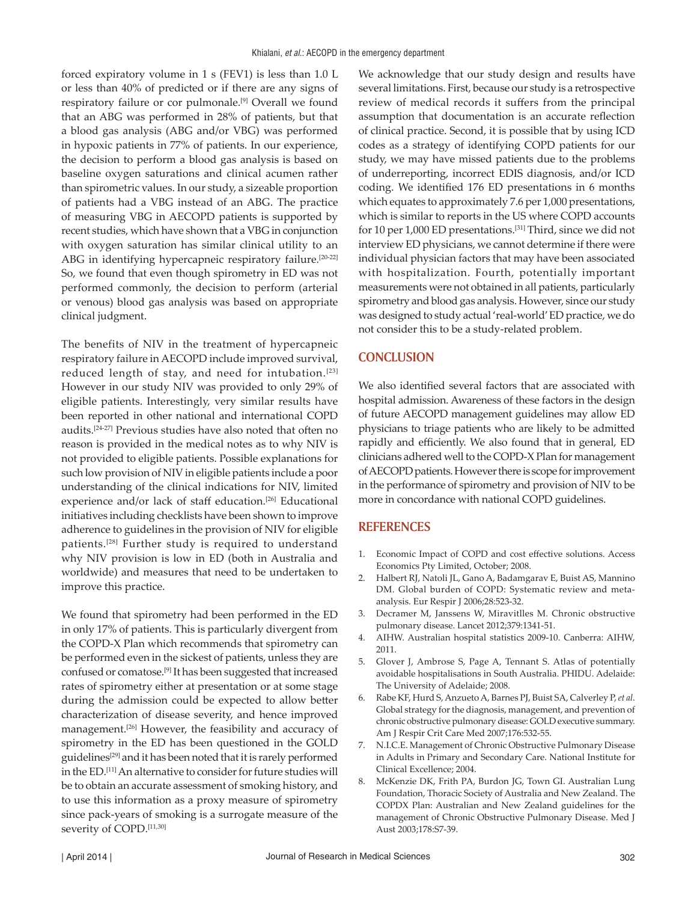forced expiratory volume in 1 s (FEV1) is less than 1.0 L or less than 40% of predicted or if there are any signs of respiratory failure or cor pulmonale.[9] Overall we found that an ABG was performed in 28% of patients, but that a blood gas analysis (ABG and/or VBG) was performed in hypoxic patients in 77% of patients. In our experience, the decision to perform a blood gas analysis is based on baseline oxygen saturations and clinical acumen rather than spirometric values. In our study, a sizeable proportion of patients had a VBG instead of an ABG. The practice of measuring VBG in AECOPD patients is supported by recent studies, which have shown that a VBG in conjunction with oxygen saturation has similar clinical utility to an ABG in identifying hypercapneic respiratory failure.<sup>[20-22]</sup> So, we found that even though spirometry in ED was not performed commonly, the decision to perform (arterial or venous) blood gas analysis was based on appropriate clinical judgment.

The benefits of NIV in the treatment of hypercapneic respiratory failure in AECOPD include improved survival, reduced length of stay, and need for intubation.<sup>[23]</sup> However in our study NIV was provided to only 29% of eligible patients. Interestingly, very similar results have been reported in other national and international COPD audits.[24-27] Previous studies have also noted that often no reason is provided in the medical notes as to why NIV is not provided to eligible patients. Possible explanations for such low provision of NIV in eligible patients include a poor understanding of the clinical indications for NIV, limited experience and/or lack of staff education.<sup>[26]</sup> Educational initiatives including checklists have been shown to improve adherence to guidelines in the provision of NIV for eligible patients.[28] Further study is required to understand why NIV provision is low in ED (both in Australia and worldwide) and measures that need to be undertaken to improve this practice.

We found that spirometry had been performed in the ED in only 17% of patients. This is particularly divergent from the COPD-X Plan which recommends that spirometry can be performed even in the sickest of patients, unless they are confused or comatose.[9] It has been suggested that increased rates of spirometry either at presentation or at some stage during the admission could be expected to allow better characterization of disease severity, and hence improved management.[26] However, the feasibility and accuracy of spirometry in the ED has been questioned in the GOLD guidelines<sup>[29]</sup> and it has been noted that it is rarely performed in the ED.[11] An alternative to consider for future studies will be to obtain an accurate assessment of smoking history, and to use this information as a proxy measure of spirometry since pack-years of smoking is a surrogate measure of the severity of COPD.[11,30]

We acknowledge that our study design and results have several limitations. First, because our study is a retrospective review of medical records it suffers from the principal assumption that documentation is an accurate reflection of clinical practice. Second, it is possible that by using ICD codes as a strategy of identifying COPD patients for our study, we may have missed patients due to the problems of underreporting, incorrect EDIS diagnosis, and/or ICD coding. We identified 176 ED presentations in 6 months which equates to approximately 7.6 per 1,000 presentations, which is similar to reports in the US where COPD accounts for 10 per 1,000 ED presentations.[31] Third, since we did not interview ED physicians, we cannot determine if there were individual physician factors that may have been associated with hospitalization. Fourth, potentially important measurements were not obtained in all patients, particularly spirometry and blood gas analysis. However, since our study was designed to study actual 'real-world' ED practice, we do not consider this to be a study-related problem.

## **CONCLUSION**

We also identified several factors that are associated with hospital admission. Awareness of these factors in the design of future AECOPD management guidelines may allow ED physicians to triage patients who are likely to be admitted rapidly and efficiently. We also found that in general, ED clinicians adhered well to the COPD-X Plan for management of AECOPD patients. However there is scope for improvement in the performance of spirometry and provision of NIV to be more in concordance with national COPD guidelines.

### **REFERENCES**

- 1. Economic Impact of COPD and cost effective solutions. Access Economics Pty Limited, October; 2008.
- 2. Halbert RJ, Natoli JL, Gano A, Badamgarav E, Buist AS, Mannino DM. Global burden of COPD: Systematic review and metaanalysis. Eur Respir J 2006;28:523-32.
- 3. Decramer M, Janssens W, Miravitlles M. Chronic obstructive pulmonary disease. Lancet 2012;379:1341-51.
- 4. AIHW. Australian hospital statistics 2009-10. Canberra: AIHW, 2011.
- 5. Glover J, Ambrose S, Page A, Tennant S. Atlas of potentially avoidable hospitalisations in South Australia. PHIDU. Adelaide: The University of Adelaide; 2008.
- 6. Rabe KF, Hurd S, Anzueto A, Barnes PJ, Buist SA, Calverley P, *et al*. Global strategy for the diagnosis, management, and prevention of chronic obstructive pulmonary disease: GOLD executive summary. Am J Respir Crit Care Med 2007;176:532-55.
- 7. N.I.C.E. Management of Chronic Obstructive Pulmonary Disease in Adults in Primary and Secondary Care. National Institute for Clinical Excellence; 2004.
- 8. McKenzie DK, Frith PA, Burdon JG, Town GI. Australian Lung Foundation, Thoracic Society of Australia and New Zealand. The COPDX Plan: Australian and New Zealand guidelines for the management of Chronic Obstructive Pulmonary Disease. Med J Aust 2003;178:S7-39.